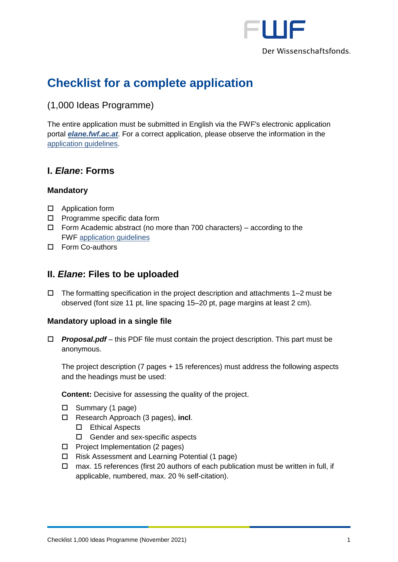

# **Checklist for a complete application**

(1,000 Ideas Programme)

The entire application must be submitted in English via the FWF's electronic application portal *[elane.fwf.ac.at](https://elane.fwf.ac.at/)*. For a correct application, please observe the information in the [application guidelines.](https://www.fwf.ac.at/fileadmin/files/Dokumente/Antragstellung/1000-Ideen-Programm/tai_application-guidelines.pdf)

## **I.** *Elane***: Forms**

#### **Mandatory**

- □ Application form
- $\square$  Programme specific data form
- $\Box$  Form Academic abstract (no more than 700 characters) according to the FWF [application guidelines](https://www.fwf.ac.at/fileadmin/files/Dokumente/Antragstellung/1000-Ideen-Programm/tai_application-guidelines.pdf)
- Form Co-authors

### **II.** *Elane***: Files to be uploaded**

 $\Box$  The formatting specification in the project description and attachments 1–2 must be observed (font size 11 pt, line spacing 15–20 pt, page margins at least 2 cm).

#### **Mandatory upload in a single file**

 *Proposal.pdf* – this PDF file must contain the project description. This part must be anonymous.

The project description (7 pages + 15 references) must address the following aspects and the headings must be used:

**Content:** Decisive for assessing the quality of the project.

- $\Box$  Summary (1 page)
- Research Approach (3 pages), **incl**.
	- Ethical Aspects
	- □ Gender and sex-specific aspects
- $\Box$  Project Implementation (2 pages)
- Risk Assessment and Learning Potential (1 page)
- $\Box$  max. 15 references (first 20 authors of each publication must be written in full, if applicable, numbered, max. 20 % self-citation).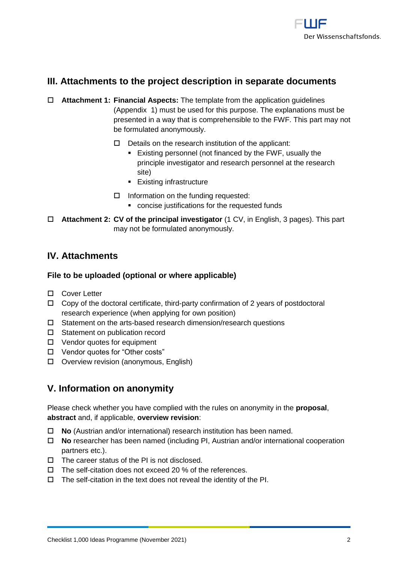

### **III. Attachments to the project description in separate documents**

- **Attachment 1: Financial Aspects:** The template from the application guidelines (Appendix 1) must be used for this purpose. The explanations must be presented in a way that is comprehensible to the FWF. This part may not be formulated anonymously.
	- $\Box$  Details on the research institution of the applicant:
		- Existing personnel (not financed by the FWF, usually the principle investigator and research personnel at the research site)
		- **Existing infrastructure**
	- $\Box$  Information on the funding requested:
		- concise justifications for the requested funds
- **Attachment 2: CV of the principal investigator** (1 CV, in English, 3 pages). This part may not be formulated anonymously.

#### **IV. Attachments**

#### **File to be uploaded (optional or where applicable)**

- □ Cover Letter
- $\Box$  Copy of the doctoral certificate, third-party confirmation of 2 years of postdoctoral research experience (when applying for own position)
- $\square$  Statement on the arts-based research dimension/research questions
- □ Statement on publication record
- □ Vendor quotes for equipment
- Vendor quotes for "Other costs"
- Overview revision (anonymous, English)

#### **V. Information on anonymity**

Please check whether you have complied with the rules on anonymity in the **proposal**, **abstract** and, if applicable, **overview revision**:

- **No** (Austrian and/or international) research institution has been named.
- **No** researcher has been named (including PI, Austrian and/or international cooperation partners etc.).
- $\square$  The career status of the PI is not disclosed.
- $\Box$  The self-citation does not exceed 20 % of the references.
- $\Box$  The self-citation in the text does not reveal the identity of the PI.